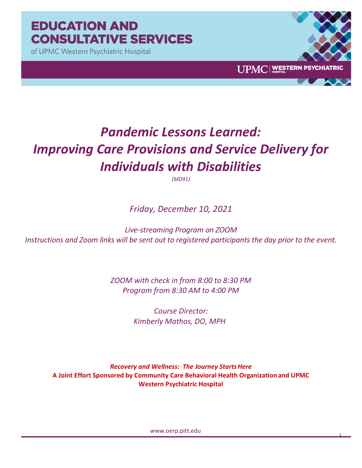# **EDUCATION AND CONSULTATIVE SERVICES**

of UPMC Western Psychiatric Hospital



1

# *Pandemic Lessons Learned: Improving Care Provisions and Service Delivery for Individuals with Disabilities*

*(MD91)*

*Friday, December 10, 2021*

*Live-streaming Program on ZOOM Instructions and Zoom links will be sent out to registered participants the day prior to the event.*

> *ZOOM with check in from 8:00 to 8:30 PM Program from 8:30 AM to 4:00 PM*

> > *Course Director: Kimberly Mathos, DO, MPH*

*Recovery and Wellness: The Journey StartsHere* **A Joint Effort Sponsored by Community Care Behavioral Health Organization and UPMC Western Psychiatric Hospital**

www.oerp.pitt.edu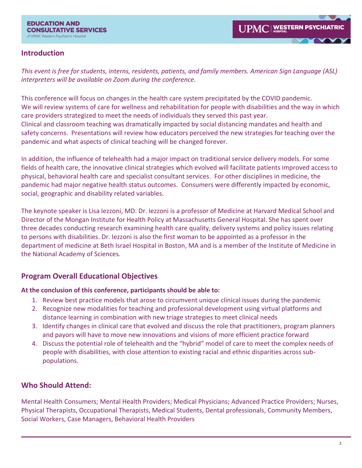# **Introduction**

*This event is free for students, interns, residents, patients, and family members. American Sign Language (ASL) interpreters will be available on Zoom during the conference.*

This conference will focus on changes in the health care system precipitated by the COVID pandemic. We will review systems of care for wellness and rehabilitation for people with disabilities and the way in which care providers strategized to meet the needs of individuals they served this past year. Clinical and classroom teaching was dramatically impacted by social distancing mandates and health and safety concerns. Presentations will review how educators perceived the new strategies for teaching over the pandemic and what aspects of clinical teaching will be changed forever.

In addition, the influence of telehealth had a major impact on traditional service delivery models. For some fields of health care, the innovative clinical strategies which evolved will facilitate patients improved access to physical, behavioral health care and specialist consultant services. For other disciplines in medicine, the pandemic had major negative health status outcomes. Consumers were differently impacted by economic, social, geographic and disability related variables.

The keynote speaker is Lisa Iezzoni, MD. Dr. Iezzoni is a professor of Medicine at Harvard Medical School and Director of the Mongan Institute for Health Policy at Massachusetts General Hospital. She has spent over three decades conducting research examining health care quality, delivery systems and policy issues relating to persons with disabilities. Dr. Iezzoni is also the first woman to be appointed as a professor in the department of medicine at Beth Israel Hospital in Boston, MA and is a member of the Institute of Medicine in the National Academy of Sciences.

# **Program Overall Educational Objectives**

### **At the conclusion of this conference, participants should be able to:**

- 1. Review best practice models that arose to circumvent unique clinical issues during the pandemic
- 2. Recognize new modalities for teaching and professional development using virtual platforms and distance learning in combination with new triage strategies to meet clinical needs
- 3. Identify changes in clinical care that evolved and discuss the role that practitioners, program planners and payors will have to move new innovations and visions of more efficient practice forward
- 4. Discuss the potential role of telehealth and the "hybrid" model of care to meet the complex needs of people with disabilities, with close attention to existing racial and ethnic disparities across subpopulations.

# **Who Should Attend:**

Mental Health Consumers; Mental Health Providers; Medical Physicians; Advanced Practice Providers; Nurses, Physical Therapists, Occupational Therapists, Medical Students, Dental professionals, Community Members, Social Workers, Case Managers, Behavioral Health Providers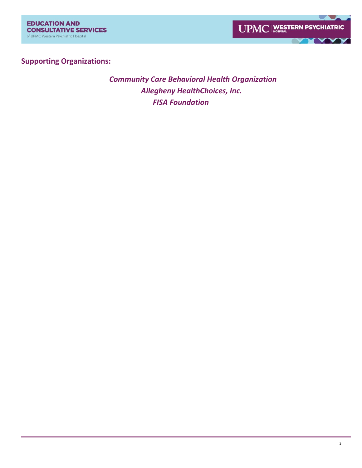

# **Supporting Organizations:**

 *Community Care Behavioral Health Organization Allegheny HealthChoices, Inc. FISA Foundation*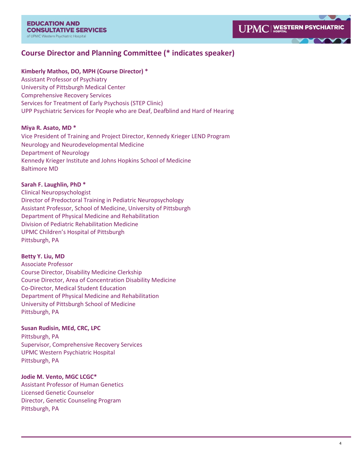# **Course Director and Planning Committee (\* indicates speaker)**

#### **Kimberly Mathos, DO, MPH (Course Director) \***

Assistant Professor of Psychiatry University of Pittsburgh Medical Center Comprehensive Recovery Services Services for Treatment of Early Psychosis (STEP Clinic) UPP Psychiatric Services for People who are Deaf, Deafblind and Hard of Hearing

#### **Miya R. Asato, MD \***

Vice President of Training and Project Director, Kennedy Krieger LEND Program Neurology and Neurodevelopmental Medicine Department of Neurology Kennedy Krieger Institute and Johns Hopkins School of Medicine Baltimore MD

#### **Sarah F. Laughlin, PhD \***

Clinical Neuropsychologist Director of Predoctoral Training in Pediatric Neuropsychology Assistant Professor, School of Medicine, University of Pittsburgh Department of Physical Medicine and Rehabilitation Division of Pediatric Rehabilitation Medicine UPMC Children's Hospital of Pittsburgh Pittsburgh, PA

#### **Betty Y. Liu, MD**

Associate Professor Course Director, Disability Medicine Clerkship Course Director, Area of Concentration Disability Medicine Co-Director, Medical Student Education Department of Physical Medicine and Rehabilitation University of Pittsburgh School of Medicine Pittsburgh, PA

#### **Susan Rudisin, MEd, CRC, LPC**

Pittsburgh, PA Supervisor, Comprehensive Recovery Services UPMC Western Psychiatric Hospital Pittsburgh, PA

#### **Jodie M. Vento, MGC LCGC\***

Assistant Professor of Human Genetics Licensed Genetic Counselor Director, Genetic Counseling Program Pittsburgh, PA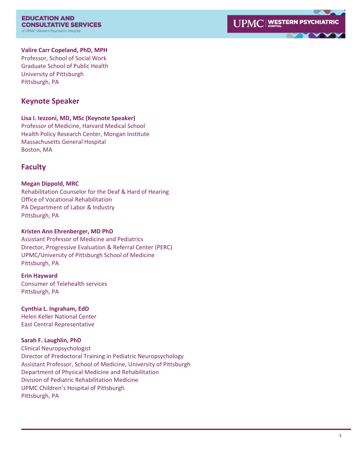**EDUCATION AND CONSULTATIVE SERVICES** of UPMC Western Psychiatric Hospital



#### **Valire Carr Copeland, PhD, MPH**

Professor, School of Social Work Graduate School of Public Health University of Pittsburgh Pittsburgh, PA

### **Keynote Speaker**

#### **Lisa I. Iezzoni, MD, MSc (Keynote Speaker)**

Professor of Medicine, Harvard Medical School Health Policy Research Center, Mongan Institute Massachusetts General Hospital Boston, MA

# **Faculty**

#### **Megan Dippold, MRC**

Rehabilitation Counselor for the Deaf & Hard of Hearing Office of Vocational Rehabilitation PA Department of Labor & Industry Pittsburgh, PA

#### **Kristen Ann Ehrenberger, MD PhD**

Assistant Professor of Medicine and Pediatrics Director, Progressive Evaluation & Referral Center (PERC) UPMC/University of Pittsburgh School of Medicine Pittsburgh, PA

#### **Erin Hayward**

Consumer of Telehealth services Pittsburgh, PA

#### **Cynthia L. Ingraham, EdD**

Helen Keller National Center East Central Representative

#### **Sarah F. Laughlin, PhD**

Clinical Neuropsychologist Director of Predoctoral Training in Pediatric Neuropsychology Assistant Professor, School of Medicine, University of Pittsburgh Department of Physical Medicine and Rehabilitation Division of Pediatric Rehabilitation Medicine UPMC Children's Hospital of Pittsburgh Pittsburgh, PA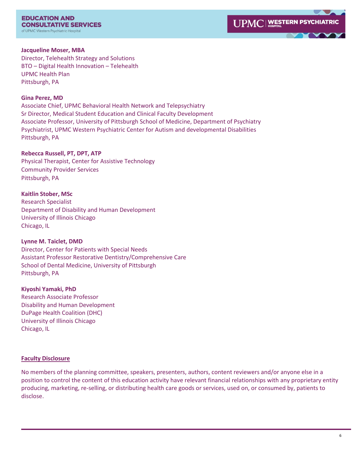**EDUCATION AND CONSULTATIVE SERVICES** of UPMC Western Psychiatric Hospital

#### **Jacqueline Moser, MBA**

Director, Telehealth Strategy and Solutions BTO – Digital Health Innovation – Telehealth UPMC Health Plan Pittsburgh, PA

#### **Gina Perez, MD**

Associate Chief, UPMC Behavioral Health Network and Telepsychiatry Sr Director, Medical Student Education and Clinical Faculty Development Associate Professor, University of Pittsburgh School of Medicine, Department of Psychiatry Psychiatrist, UPMC Western Psychiatric Center for Autism and developmental Disabilities Pittsburgh, PA

#### **Rebecca Russell, PT, DPT, ATP**

Physical Therapist, Center for Assistive Technology Community Provider Services Pittsburgh, PA

#### **Kaitlin Stober, MSc**

Research Specialist Department of Disability and Human Development University of Illinois Chicago Chicago, IL

#### **Lynne M. Taiclet, DMD**

Director, Center for Patients with Special Needs Assistant Professor Restorative Dentistry/Comprehensive Care School of Dental Medicine, University of Pittsburgh Pittsburgh, PA

#### **Kiyoshi Yamaki, PhD**

Research Associate Professor Disability and Human Development DuPage Health Coalition (DHC) University of Illinois Chicago Chicago, IL

#### **Faculty Disclosure**

No members of the planning committee, speakers, presenters, authors, content reviewers and/or anyone else in a position to control the content of this education activity have relevant financial relationships with any proprietary entity producing, marketing, re-selling, or distributing health care goods or services, used on, or consumed by, patients to disclose.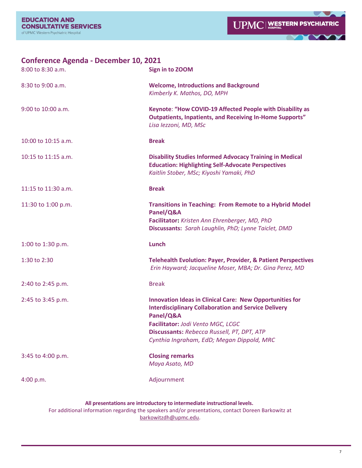$\blacksquare$ 

Y

| <b>Conference Agenda - December 10, 2021</b><br>8:00 to 8:30 a.m. | Sign in to ZOOM                                                                                                                                                                                                                                                             |
|-------------------------------------------------------------------|-----------------------------------------------------------------------------------------------------------------------------------------------------------------------------------------------------------------------------------------------------------------------------|
| 8:30 to 9:00 a.m.                                                 | <b>Welcome, Introductions and Background</b><br>Kimberly K. Mathos, DO, MPH                                                                                                                                                                                                 |
| 9:00 to 10:00 a.m.                                                | Keynote: "How COVID-19 Affected People with Disability as<br><b>Outpatients, Inpatients, and Receiving In-Home Supports"</b><br>Lisa Iezzoni, MD, MSc                                                                                                                       |
| 10:00 to 10:15 a.m.                                               | <b>Break</b>                                                                                                                                                                                                                                                                |
| 10:15 to 11:15 a.m.                                               | <b>Disability Studies Informed Advocacy Training in Medical</b><br><b>Education: Highlighting Self-Advocate Perspectives</b><br>Kaitlin Stober, MSc; Kiyoshi Yamaki, PhD                                                                                                    |
| 11:15 to 11:30 a.m.                                               | <b>Break</b>                                                                                                                                                                                                                                                                |
| 11:30 to 1:00 p.m.                                                | <b>Transitions in Teaching: From Remote to a Hybrid Model</b><br>Panel/Q&A<br>Facilitator: Kristen Ann Ehrenberger, MD, PhD<br>Discussants: Sarah Laughlin, PhD; Lynne Taiclet, DMD                                                                                         |
| 1:00 to 1:30 p.m.                                                 | Lunch                                                                                                                                                                                                                                                                       |
| 1:30 to 2:30                                                      | <b>Telehealth Evolution: Payer, Provider, &amp; Patient Perspectives</b><br>Erin Hayward; Jacqueline Moser, MBA; Dr. Gina Perez, MD                                                                                                                                         |
| 2:40 to 2:45 p.m.                                                 | <b>Break</b>                                                                                                                                                                                                                                                                |
| 2:45 to 3:45 p.m.                                                 | <b>Innovation Ideas in Clinical Care: New Opportunities for</b><br><b>Interdisciplinary Collaboration and Service Delivery</b><br>Panel/Q&A<br>Facilitator: Jodi Vento MGC, LCGC<br>Discussants: Rebecca Russell, PT, DPT, ATP<br>Cynthia Ingraham, EdD; Megan Dippold, MRC |
| 3:45 to 4:00 p.m.                                                 | <b>Closing remarks</b><br>Maya Asato, MD                                                                                                                                                                                                                                    |
| 4:00 p.m.                                                         | Adjournment                                                                                                                                                                                                                                                                 |
|                                                                   | All presentations are introductory to intermediate instructional levels.                                                                                                                                                                                                    |

For additional information regarding the speakers and/or presentations, contact Doreen Barkowitz at [barkowitzdh@upmc.edu.](mailto:barkowitzdh@upmc.edu)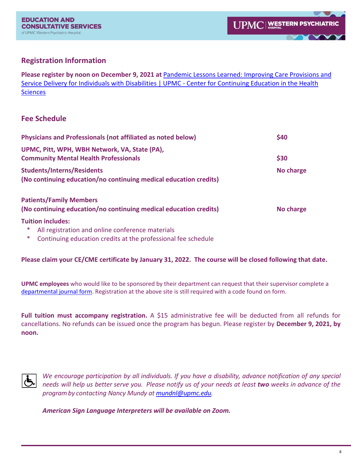# **Registration Information**

**Please register by noon on December 9, 2021 at** [Pandemic Lessons Learned: Improving Care Provisions and](https://cce.upmc.com/content/pandemic-lessons-learned-improving-care-provisions-and-service-delivery-individuals#overlay-context=course-catalog-list%3Ftext%3Dpost%2Bpandemic%26sort_by%3Dfield_course_event_date_value)  [Service Delivery for Individuals with Disabilities | UPMC -](https://cce.upmc.com/content/pandemic-lessons-learned-improving-care-provisions-and-service-delivery-individuals#overlay-context=course-catalog-list%3Ftext%3Dpost%2Bpandemic%26sort_by%3Dfield_course_event_date_value) Center for Continuing Education in the Health **[Sciences](https://cce.upmc.com/content/pandemic-lessons-learned-improving-care-provisions-and-service-delivery-individuals#overlay-context=course-catalog-list%3Ftext%3Dpost%2Bpandemic%26sort_by%3Dfield_course_event_date_value)** 

# **Fee Schedule**

| Physicians and Professionals (not affiliated as noted below)                                           | \$40      |
|--------------------------------------------------------------------------------------------------------|-----------|
| UPMC, Pitt, WPH, WBH Network, VA, State (PA),<br><b>Community Mental Health Professionals</b>          | \$30      |
| <b>Students/Interns/Residents</b><br>(No continuing education/no continuing medical education credits) | No charge |
| <b>Patients/Family Members</b><br>(No continuing education/no continuing medical education credits)    | No charge |
| <b>Tuition includes:</b><br>All registration and online conference materials<br>∗                      |           |

Continuing education credits at the professional fee schedule

# **Please claim your CE/CME certificate by January 31, 2022. The course will be closed following that date.**

**UPMC employees** who would like to be sponsored by their department can request that their supervisor complete a [departmental journal form.](https://forms.office.com/Pages/ResponsePage.aspx?id=Ptc9i3JOeUaxkVbaFYhxK0DkK2RDK3JFoMlDz9Xry_lUOFQ1M0YyU1pYVkRFQ0tTT0hKV09ZOUNHTS4u) Registration at the above site is still required with a code found on form.

**Full tuition must accompany registration.** A \$15 administrative fee will be deducted from all refunds for cancellations. No refunds can be issued once the program has begun. Please register by **December 9, 2021, by noon.** 



*We encourage participation by all individuals. If you have a disability, advance notification of any special*  needs will help us better serve you. Please notify us of your needs at least two weeks in advance of the *programby contacting Nancy Mundy at [mundnl@upmc.edu.](mailto:mundnl@upmc.edu)* 

*American Sign Language Interpreters will be available on Zoom.*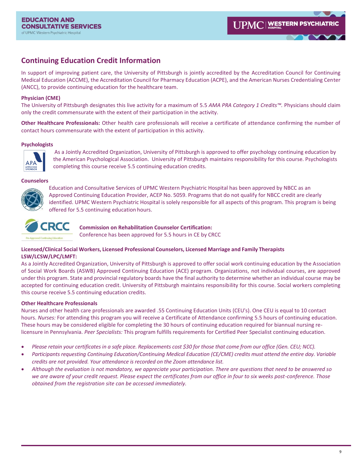# **Continuing Education Credit Information**

In support of improving patient care, the University of Pittsburgh is jointly accredited by the Accreditation Council for Continuing Medical Education (ACCME), the Accreditation Council for Pharmacy Education (ACPE), and the American Nurses Credentialing Center (ANCC), to provide continuing education for the healthcare team.

#### **Physician (CME)**

The University of Pittsburgh designates this live activity for a maximum of 5.5 *AMA PRA Category 1 Credits™.* Physicians should claim only the credit commensurate with the extent of their participation in the activity.

**Other Healthcare Professionals:** Other health care professionals will receive a certificate of attendance confirming the number of contact hours commensurate with the extent of participation in this activity.

#### **Psychologists**



As a Jointly Accredited Organization, University of Pittsburgh is approved to offer psychology continuing education by the American Psychological Association. University of Pittsburgh maintains responsibility for this course. Psychologists completing this course receive 5.5 continuing education credits.

#### **Counselors**



Education and Consultative Services of UPMC Western Psychiatric Hospital has been approved by NBCC as an Approved Continuing Education Provider, ACEP No. 5059. Programs that do not qualify for NBCC credit are clearly identified. UPMC Western Psychiatric Hospital is solely responsible for all aspects of this program. This program is being offered for 5.5 continuing education hours.



**Commission on Rehabilitation Counselor Certification:** 

Conference has been approved for 5.5 hours in CE by CRCC

#### **Licensed/Clinical Social Workers, Licensed Professional Counselors, Licensed Marriage and Family Therapists LSW/LCSW/LPC/LMFT:**

As a Jointly Accredited Organization, University of Pittsburgh is approved to offer social work continuing education by the Association of Social Work Boards (ASWB) Approved Continuing Education (ACE) program. Organizations, not individual courses, are approved under this program. State and provincial regulatory boards have the final authority to determine whether an individual course may be accepted for continuing education credit. University of Pittsburgh maintains responsibility for this course. Social workers completing this course receive 5.5 continuing education credits.

#### **Other Healthcare Professionals**

Nurses and other health care professionals are awarded .55 Continuing Education Units (CEU's). One CEU is equal to 10 contact hours. *Nurses:* For attending this program you will receive a Certificate of Attendance confirming 5.5 hours of continuing education. These hours may be considered eligible for completing the 30 hours of continuing education required for biannual nursing relicensure in Pennsylvania. *Peer Specialists:* This program fulfills requirements for Certified Peer Specialist continuing education.

- *Please retain your certificates in a safe place. Replacements cost \$30 for those that come from our office (Gen. CEU; NCC).*
- *Participants requesting Continuing Education/Continuing Medical Education (CE/CME) credits must attend the entire day. Variable credits are not provided. Your attendance is recorded on the Zoom attendance list.*
- *Although the evaluation is not mandatory, we appreciate your participation. There are questions that need to be answered so we are aware of your credit request. Please expect the certificates from our office in four to six weeks post-conference. Those obtained from the registration site can be accessed immediately.*